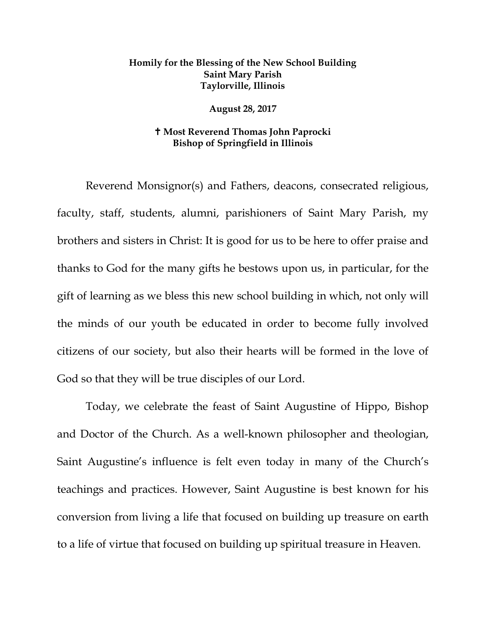## **Homily for the Blessing of the New School Building Saint Mary Parish Taylorville, Illinois**

## **August 28, 2017**

## **Most Reverend Thomas John Paprocki Bishop of Springfield in Illinois**

Reverend Monsignor(s) and Fathers, deacons, consecrated religious, faculty, staff, students, alumni, parishioners of Saint Mary Parish, my brothers and sisters in Christ: It is good for us to be here to offer praise and thanks to God for the many gifts he bestows upon us, in particular, for the gift of learning as we bless this new school building in which, not only will the minds of our youth be educated in order to become fully involved citizens of our society, but also their hearts will be formed in the love of God so that they will be true disciples of our Lord.

Today, we celebrate the feast of Saint Augustine of Hippo, Bishop and Doctor of the Church. As a well-known philosopher and theologian, Saint Augustine's influence is felt even today in many of the Church's teachings and practices. However, Saint Augustine is best known for his conversion from living a life that focused on building up treasure on earth to a life of virtue that focused on building up spiritual treasure in Heaven.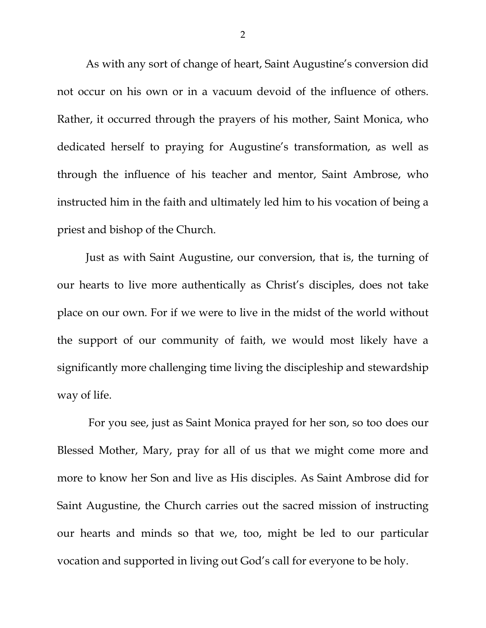As with any sort of change of heart, Saint Augustine's conversion did not occur on his own or in a vacuum devoid of the influence of others. Rather, it occurred through the prayers of his mother, Saint Monica, who dedicated herself to praying for Augustine's transformation, as well as through the influence of his teacher and mentor, Saint Ambrose, who instructed him in the faith and ultimately led him to his vocation of being a priest and bishop of the Church.

Just as with Saint Augustine, our conversion, that is, the turning of our hearts to live more authentically as Christ's disciples, does not take place on our own. For if we were to live in the midst of the world without the support of our community of faith, we would most likely have a significantly more challenging time living the discipleship and stewardship way of life.

For you see, just as Saint Monica prayed for her son, so too does our Blessed Mother, Mary, pray for all of us that we might come more and more to know her Son and live as His disciples. As Saint Ambrose did for Saint Augustine, the Church carries out the sacred mission of instructing our hearts and minds so that we, too, might be led to our particular vocation and supported in living out God's call for everyone to be holy.

2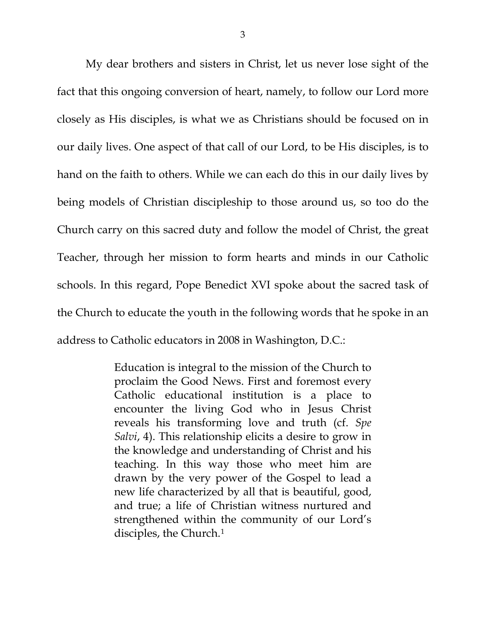My dear brothers and sisters in Christ, let us never lose sight of the fact that this ongoing conversion of heart, namely, to follow our Lord more closely as His disciples, is what we as Christians should be focused on in our daily lives. One aspect of that call of our Lord, to be His disciples, is to hand on the faith to others. While we can each do this in our daily lives by being models of Christian discipleship to those around us, so too do the Church carry on this sacred duty and follow the model of Christ, the great Teacher, through her mission to form hearts and minds in our Catholic schools. In this regard, Pope Benedict XVI spoke about the sacred task of the Church to educate the youth in the following words that he spoke in an address to Catholic educators in 2008 in Washington, D.C.:

> Education is integral to the mission of the Church to proclaim the Good News. First and foremost every Catholic educational institution is a place to encounter the living God who in Jesus Christ reveals his transforming love and truth (cf. *Spe Salvi*, 4). This relationship elicits a desire to grow in the knowledge and understanding of Christ and his teaching. In this way those who meet him are drawn by the very power of the Gospel to lead a new life characterized by all that is beautiful, good, and true; a life of Christian witness nurtured and strengthened within the community of our Lord's disciples, the Church.[1](#page-3-0)